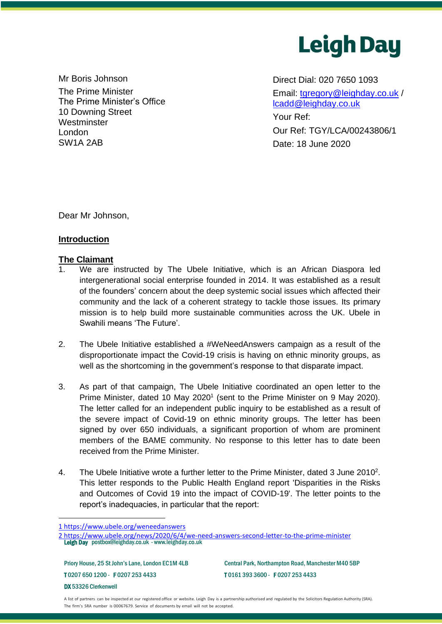

Mr Boris Johnson **Direct Dial: 020 7650 1093** The Prime Minister The Prime Minister's Office 10 Downing Street **Westminster** London SW1A 2AB

Email: [tgregory@leighday.co.uk](mailto:tgregory@leighday.co.uk) / [lcadd@leighday.co.uk](mailto:lcadd@leighday.co.uk)

Your Ref: Our Ref: TGY/LCA/00243806/1 Date: 18 June 2020

Dear Mr Johnson,

## **Introduction**

#### **The Claimant**

- 1. We are instructed by The Ubele Initiative, which is an African Diaspora led intergenerational social enterprise founded in 2014. It was established as a result of the founders' concern about the deep systemic social issues which affected their community and the lack of a coherent strategy to tackle those issues. Its primary mission is to help build more sustainable communities across the UK. Ubele in Swahili means 'The Future'.
- 2. The Ubele Initiative established a #WeNeedAnswers campaign as a result of the disproportionate impact the Covid-19 crisis is having on ethnic minority groups, as well as the shortcoming in the government's response to that disparate impact.
- 3. As part of that campaign, The Ubele Initiative coordinated an open letter to the Prime Minister, dated 10 May 2020<sup>1</sup> (sent to the Prime Minister on 9 May 2020). The letter called for an independent public inquiry to be established as a result of the severe impact of Covid-19 on ethnic minority groups. The letter has been signed by over 650 individuals, a significant proportion of whom are prominent members of the BAME community. No response to this letter has to date been received from the Prime Minister.
- 4. The Ubele Initiative wrote a further letter to the Prime Minister, dated 3 June 2010<sup>2</sup>. This letter responds to the Public Health England report 'Disparities in the Risks and Outcomes of Covid 19 into the impact of COVID-19'. The letter points to the report's inadequacies, in particular that the report:

Priory House, 25 St John's Lane, London EC1M 4LB Central Park, Northampton Road, Manchester M40 5BP T 0207 650 1200 - F 0207 253 4433 T 0161 393 3600 - F 0207 253 4433 DX 53326 Clerkenwell

A list of partners can be inspected at our registered office or website. Leigh Day is a partnership authorised and regulated by the Solicitors Regulation Authority (SRA). The firm's SRA number is 00067679. Service of documents by email will not be accepted.

<sup>1</sup> https://www.ubele.org/weneedanswers

 Leigh Day [postbox@leighday.co.uk](mailto:postbox@leighday.co.uk) - [www.leighday.co.uk](http://www.leighday.co.uk/)  2 https://www.ubele.org/news/2020/6/4/we-need-answers-second-letter-to-the-prime-minister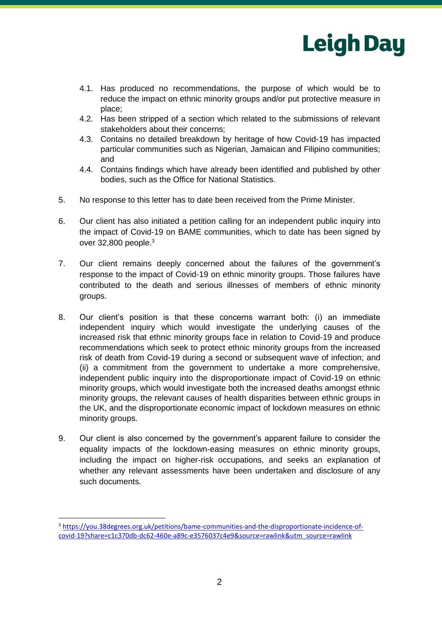

- 4.1. Has produced no recommendations, the purpose of which would be to reduce the impact on ethnic minority groups and/or put protective measure in place;
- 4.2. Has been stripped of a section which related to the submissions of relevant stakeholders about their concerns;
- 4.3. Contains no detailed breakdown by heritage of how Covid-19 has impacted particular communities such as Nigerian, Jamaican and Filipino communities; and
- 4.4. Contains findings which have already been identified and published by other bodies, such as the Office for National Statistics.
- 5. No response to this letter has to date been received from the Prime Minister.
- 6. Our client has also initiated a petition calling for an independent public inquiry into the impact of Covid-19 on BAME communities, which to date has been signed by over 32,800 people. 3
- 7. Our client remains deeply concerned about the failures of the government's response to the impact of Covid-19 on ethnic minority groups. Those failures have contributed to the death and serious illnesses of members of ethnic minority groups.
- 8. Our client's position is that these concerns warrant both: (i) an immediate independent inquiry which would investigate the underlying causes of the increased risk that ethnic minority groups face in relation to Covid-19 and produce recommendations which seek to protect ethnic minority groups from the increased risk of death from Covid-19 during a second or subsequent wave of infection; and (ii) a commitment from the government to undertake a more comprehensive, independent public inquiry into the disproportionate impact of Covid-19 on ethnic minority groups, which would investigate both the increased deaths amongst ethnic minority groups, the relevant causes of health disparities between ethnic groups in the UK, and the disproportionate economic impact of lockdown measures on ethnic minority groups.
- 9. Our client is also concerned by the government's apparent failure to consider the equality impacts of the lockdown-easing measures on ethnic minority groups, including the impact on higher-risk occupations, and seeks an explanation of whether any relevant assessments have been undertaken and disclosure of any such documents.

<sup>3</sup> [https://you.38degrees.org.uk/petitions/bame-communities-and-the-disproportionate-incidence-of](https://you.38degrees.org.uk/petitions/bame-communities-and-the-disproportionate-incidence-of-covid-19?share=c1c370db-dc62-460e-a89c-e3576037c4e9&source=rawlink&utm_source=rawlink)[covid-19?share=c1c370db-dc62-460e-a89c-e3576037c4e9&source=rawlink&utm\\_source=rawlink](https://you.38degrees.org.uk/petitions/bame-communities-and-the-disproportionate-incidence-of-covid-19?share=c1c370db-dc62-460e-a89c-e3576037c4e9&source=rawlink&utm_source=rawlink)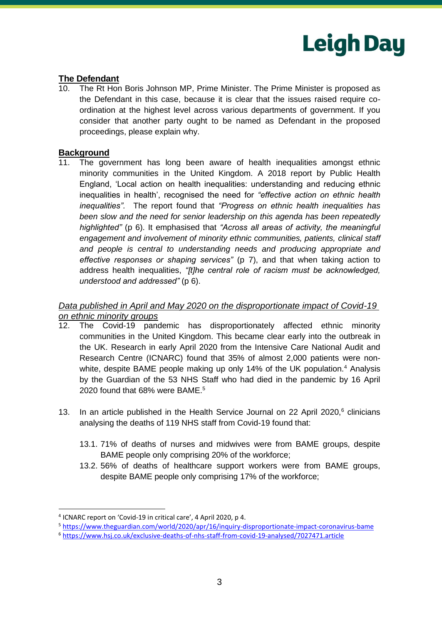

## **The Defendant**

10. The Rt Hon Boris Johnson MP, Prime Minister. The Prime Minister is proposed as the Defendant in this case, because it is clear that the issues raised require coordination at the highest level across various departments of government. If you consider that another party ought to be named as Defendant in the proposed proceedings, please explain why.

#### **Background**

11. The government has long been aware of health inequalities amongst ethnic minority communities in the United Kingdom. A 2018 report by Public Health England, 'Local action on health inequalities: understanding and reducing ethnic inequalities in health', recognised the need for *"effective action on ethnic health inequalities".* The report found that *"Progress on ethnic health inequalities has been slow and the need for senior leadership on this agenda has been repeatedly highlighted"* (p 6). It emphasised that *"Across all areas of activity, the meaningful engagement and involvement of minority ethnic communities, patients, clinical staff and people is central to understanding needs and producing appropriate and effective responses or shaping services"* (p 7), and that when taking action to address health inequalities, *"[t]he central role of racism must be acknowledged, understood and addressed"* (p 6).

#### *Data published in April and May 2020 on the disproportionate impact of Covid-19 on ethnic minority groups*

- 12. The Covid-19 pandemic has disproportionately affected ethnic minority communities in the United Kingdom. This became clear early into the outbreak in the UK. Research in early April 2020 from the Intensive Care National Audit and Research Centre (ICNARC) found that 35% of almost 2,000 patients were nonwhite, despite BAME people making up only 14% of the UK population.<sup>4</sup> Analysis by the Guardian of the 53 NHS Staff who had died in the pandemic by 16 April 2020 found that 68% were BAME.<sup>5</sup>
- 13. In an article published in the Health Service Journal on 22 April 2020, $6$  clinicians analysing the deaths of 119 NHS staff from Covid-19 found that:
	- 13.1. 71% of deaths of nurses and midwives were from BAME groups, despite BAME people only comprising 20% of the workforce;
	- 13.2. 56% of deaths of healthcare support workers were from BAME groups, despite BAME people only comprising 17% of the workforce;

<sup>4</sup> ICNARC report on 'Covid-19 in critical care', 4 April 2020, p 4.

<sup>5</sup> <https://www.theguardian.com/world/2020/apr/16/inquiry-disproportionate-impact-coronavirus-bame>

<sup>6</sup> <https://www.hsj.co.uk/exclusive-deaths-of-nhs-staff-from-covid-19-analysed/7027471.article>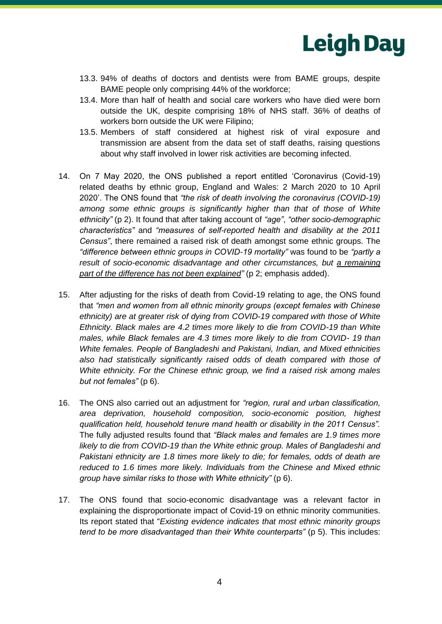

- 13.3. 94% of deaths of doctors and dentists were from BAME groups, despite BAME people only comprising 44% of the workforce;
- 13.4. More than half of health and social care workers who have died were born outside the UK, despite comprising 18% of NHS staff. 36% of deaths of workers born outside the UK were Filipino;
- 13.5. Members of staff considered at highest risk of viral exposure and transmission are absent from the data set of staff deaths, raising questions about why staff involved in lower risk activities are becoming infected.
- 14. On 7 May 2020, the ONS published a report entitled 'Coronavirus (Covid-19) related deaths by ethnic group, England and Wales: 2 March 2020 to 10 April 2020'. The ONS found that *"the risk of death involving the coronavirus (COVID-19) among some ethnic groups is significantly higher than that of those of White ethnicity"* (p 2). It found that after taking account of *"age"*, *"other socio-demographic characteristics"* and *"measures of self-reported health and disability at the 2011 Census"*, there remained a raised risk of death amongst some ethnic groups. The *"difference between ethnic groups in COVID-19 mortality"* was found to be *"partly a result of socio-economic disadvantage and other circumstances, but a remaining part of the difference has not been explained"* (p 2; emphasis added).
- 15. After adjusting for the risks of death from Covid-19 relating to age, the ONS found that *"men and women from all ethnic minority groups (except females with Chinese ethnicity) are at greater risk of dying from COVID-19 compared with those of White Ethnicity. Black males are 4.2 times more likely to die from COVID-19 than White males, while Black females are 4.3 times more likely to die from COVID- 19 than White females. People of Bangladeshi and Pakistani, Indian, and Mixed ethnicities also had statistically significantly raised odds of death compared with those of White ethnicity. For the Chinese ethnic group, we find a raised risk among males but not females"* (p 6).
- 16. The ONS also carried out an adjustment for *"region, rural and urban classification, area deprivation, household composition, socio-economic position, highest qualification held, household tenure mand health or disability in the 2011 Census".*  The fully adjusted results found that *"Black males and females are 1.9 times more likely to die from COVID-19 than the White ethnic group. Males of Bangladeshi and Pakistani ethnicity are 1.8 times more likely to die; for females, odds of death are reduced to 1.6 times more likely. Individuals from the Chinese and Mixed ethnic group have similar risks to those with White ethnicity"* (p 6).
- 17. The ONS found that socio-economic disadvantage was a relevant factor in explaining the disproportionate impact of Covid-19 on ethnic minority communities. Its report stated that "*Existing evidence indicates that most ethnic minority groups tend to be more disadvantaged than their White counterparts" (p 5). This includes:*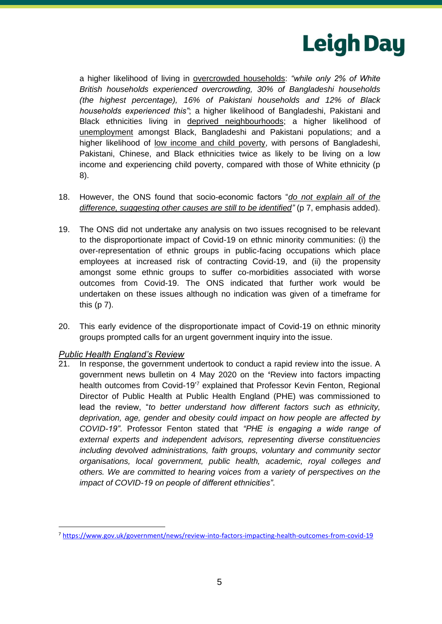

a higher likelihood of living in overcrowded households: *"while only 2% of White British households experienced overcrowding, 30% of Bangladeshi households (the highest percentage), 16% of Pakistani households and 12% of Black households experienced this"*; a higher likelihood of Bangladeshi, Pakistani and Black ethnicities living in deprived neighbourhoods; a higher likelihood of unemployment amongst Black, Bangladeshi and Pakistani populations; and a higher likelihood of low income and child poverty, with persons of Bangladeshi, Pakistani, Chinese, and Black ethnicities twice as likely to be living on a low income and experiencing child poverty, compared with those of White ethnicity (p 8).

- 18. However, the ONS found that socio-economic factors "*do not explain all of the difference, suggesting other causes are still to be identified"* (p 7, emphasis added).
- 19. The ONS did not undertake any analysis on two issues recognised to be relevant to the disproportionate impact of Covid-19 on ethnic minority communities: (i) the over-representation of ethnic groups in public-facing occupations which place employees at increased risk of contracting Covid-19, and (ii) the propensity amongst some ethnic groups to suffer co-morbidities associated with worse outcomes from Covid-19. The ONS indicated that further work would be undertaken on these issues although no indication was given of a timeframe for this (p 7).
- 20. This early evidence of the disproportionate impact of Covid-19 on ethnic minority groups prompted calls for an urgent government inquiry into the issue.

#### *Public Health England's Review*

In response, the government undertook to conduct a rapid review into the issue. A government news bulletin on 4 May 2020 on the **'**Review into factors impacting health outcomes from Covid-19'<sup>7</sup> explained that Professor Kevin Fenton, Regional Director of Public Health at Public Health England (PHE) was commissioned to lead the review, "*to better understand how different factors such as ethnicity, deprivation, age, gender and obesity could impact on how people are affected by COVID-19"*. Professor Fenton stated that *"PHE is engaging a wide range of external experts and independent advisors, representing diverse constituencies including devolved administrations, faith groups, voluntary and community sector organisations, local government, public health, academic, royal colleges and others. We are committed to hearing voices from a variety of perspectives on the impact of COVID-19 on people of different ethnicities"*.

<sup>7</sup> <https://www.gov.uk/government/news/review-into-factors-impacting-health-outcomes-from-covid-19>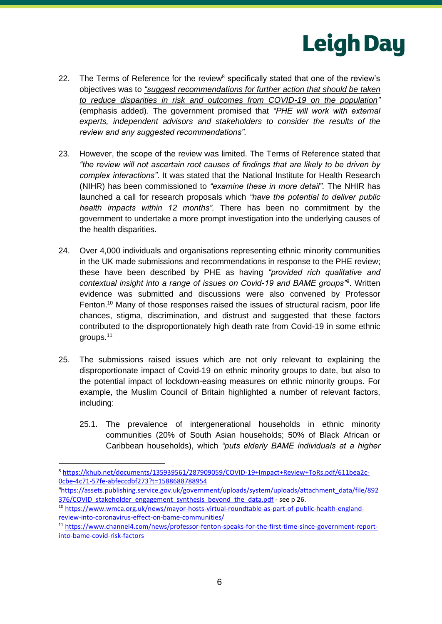

- 22. The Terms of Reference for the review<sup>8</sup> specifically stated that one of the review's objectives was to *"suggest recommendations for further action that should be taken to reduce disparities in risk and outcomes from COVID-19 on the population"* (emphasis added)*.* The government promised that *"PHE will work with external experts, independent advisors and stakeholders to consider the results of the review and any suggested recommendations".*
- 23. However, the scope of the review was limited. The Terms of Reference stated that *"the review will not ascertain root causes of findings that are likely to be driven by complex interactions"*. It was stated that the National Institute for Health Research (NIHR) has been commissioned to *"examine these in more detail".* The NHIR has launched a call for research proposals which *"have the potential to deliver public health impacts within 12 months".* There has been no commitment by the government to undertake a more prompt investigation into the underlying causes of the health disparities.
- 24. Over 4,000 individuals and organisations representing ethnic minority communities in the UK made submissions and recommendations in response to the PHE review; these have been described by PHE as having *"provided rich qualitative and contextual insight into a range of issues on Covid-19 and BAME groups"*<sup>9</sup> . Written evidence was submitted and discussions were also convened by Professor Fenton.<sup>10</sup> Many of those responses raised the issues of structural racism, poor life chances, stigma, discrimination, and distrust and suggested that these factors contributed to the disproportionately high death rate from Covid-19 in some ethnic groups.<sup>11</sup>
- 25. The submissions raised issues which are not only relevant to explaining the disproportionate impact of Covid-19 on ethnic minority groups to date, but also to the potential impact of lockdown-easing measures on ethnic minority groups. For example, the Muslim Council of Britain highlighted a number of relevant factors, including:
	- 25.1. The prevalence of intergenerational households in ethnic minority communities (20% of South Asian households; 50% of Black African or Caribbean households), which *"puts elderly BAME individuals at a higher*

<sup>8</sup> [https://khub.net/documents/135939561/287909059/COVID-19+Impact+Review+ToRs.pdf/611bea2c-](https://khub.net/documents/135939561/287909059/COVID-19+Impact+Review+ToRs.pdf/611bea2c-0cbe-4c71-57fe-abfeccdbf273?t=1588688788954)[0cbe-4c71-57fe-abfeccdbf273?t=1588688788954](https://khub.net/documents/135939561/287909059/COVID-19+Impact+Review+ToRs.pdf/611bea2c-0cbe-4c71-57fe-abfeccdbf273?t=1588688788954)

<sup>9</sup>[https://assets.publishing.service.gov.uk/government/uploads/system/uploads/attachment\\_data/file/892](https://assets.publishing.service.gov.uk/government/uploads/system/uploads/attachment_data/file/892376/COVID_stakeholder_engagement_synthesis_beyond_the_data.pdf) 376/COVID stakeholder engagement synthesis beyond the data.pdf - see p 26.

<sup>10</sup> [https://www.wmca.org.uk/news/mayor-hosts-virtual-roundtable-as-part-of-public-health-england](https://www.wmca.org.uk/news/mayor-hosts-virtual-roundtable-as-part-of-public-health-england-review-into-coronavirus-effect-on-bame-communities/)[review-into-coronavirus-effect-on-bame-communities/](https://www.wmca.org.uk/news/mayor-hosts-virtual-roundtable-as-part-of-public-health-england-review-into-coronavirus-effect-on-bame-communities/)

<sup>11</sup> [https://www.channel4.com/news/professor-fenton-speaks-for-the-first-time-since-government-report](https://www.channel4.com/news/professor-fenton-speaks-for-the-first-time-since-government-report-into-bame-covid-risk-factors)[into-bame-covid-risk-factors](https://www.channel4.com/news/professor-fenton-speaks-for-the-first-time-since-government-report-into-bame-covid-risk-factors)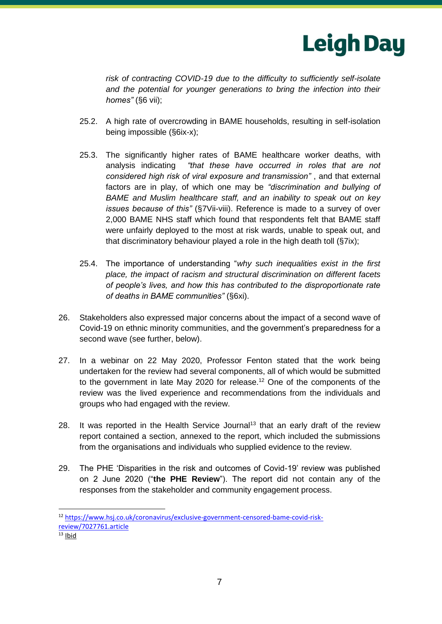

*risk of contracting COVID-19 due to the difficulty to sufficiently self-isolate and the potential for younger generations to bring the infection into their homes"* (§6 vii);

- 25.2. A high rate of overcrowding in BAME households, resulting in self-isolation being impossible (§6ix-x);
- 25.3. The significantly higher rates of BAME healthcare worker deaths, with analysis indicating *"that these have occurred in roles that are not considered high risk of viral exposure and transmission"* , and that external factors are in play, of which one may be *"discrimination and bullying of BAME and Muslim healthcare staff, and an inability to speak out on key issues because of this"* (§7Vii-viii). Reference is made to a survey of over 2,000 BAME NHS staff which found that respondents felt that BAME staff were unfairly deployed to the most at risk wards, unable to speak out, and that discriminatory behaviour played a role in the high death toll (§7ix);
- 25.4. The importance of understanding "*why such inequalities exist in the first place, the impact of racism and structural discrimination on different facets of people's lives, and how this has contributed to the disproportionate rate of deaths in BAME communities"* (§6xi).
- 26. Stakeholders also expressed major concerns about the impact of a second wave of Covid-19 on ethnic minority communities, and the government's preparedness for a second wave (see further, below).
- 27. In a webinar on 22 May 2020, Professor Fenton stated that the work being undertaken for the review had several components, all of which would be submitted to the government in late May 2020 for release.<sup>12</sup> One of the components of the review was the lived experience and recommendations from the individuals and groups who had engaged with the review.
- 28. It was reported in the Health Service Journal<sup>13</sup> that an early draft of the review report contained a section, annexed to the report, which included the submissions from the organisations and individuals who supplied evidence to the review.
- 29. The PHE 'Disparities in the risk and outcomes of Covid-19' review was published on 2 June 2020 ("**the PHE Review**"). The report did not contain any of the responses from the stakeholder and community engagement process.

<sup>12</sup> https://www.hsj.co.uk/coronavirus/exclusive-government-censored-bame-covid-riskreview/7027761.article

 $13$  Ibid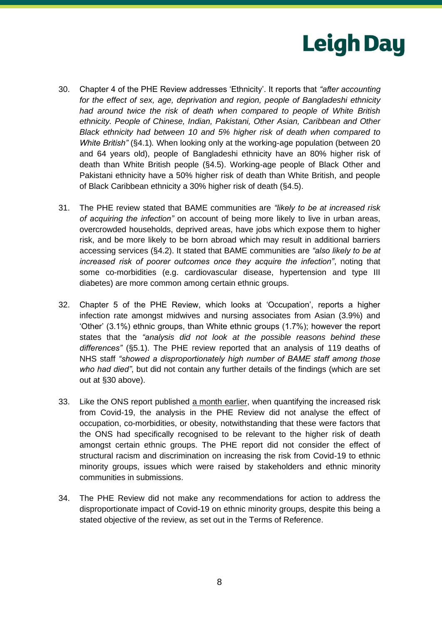

- <span id="page-7-0"></span>30. Chapter 4 of the PHE Review addresses 'Ethnicity'. It reports that *"after accounting for the effect of sex, age, deprivation and region, people of Bangladeshi ethnicity had around twice the risk of death when compared to people of White British ethnicity. People of Chinese, Indian, Pakistani, Other Asian, Caribbean and Other Black ethnicity had between 10 and 5% higher risk of death when compared to White British"* (§4.1)*.* When looking only at the working-age population (between 20 and 64 years old), people of Bangladeshi ethnicity have an 80% higher risk of death than White British people (§4.5). Working-age people of Black Other and Pakistani ethnicity have a 50% higher risk of death than White British, and people of Black Caribbean ethnicity a 30% higher risk of death (§4.5).
- 31. The PHE review stated that BAME communities are *"likely to be at increased risk of acquiring the infection"* on account of being more likely to live in urban areas, overcrowded households, deprived areas, have jobs which expose them to higher risk, and be more likely to be born abroad which may result in additional barriers accessing services (§4.2). It stated that BAME communities are *"also likely to be at increased risk of poorer outcomes once they acquire the infection"*, noting that some co-morbidities (e.g. cardiovascular disease, hypertension and type III diabetes) are more common among certain ethnic groups.
- 32. Chapter 5 of the PHE Review, which looks at 'Occupation', reports a higher infection rate amongst midwives and nursing associates from Asian (3.9%) and 'Other' (3.1%) ethnic groups, than White ethnic groups (1.7%); however the report states that the *"analysis did not look at the possible reasons behind these differences"* (§5.1). The PHE review reported that an analysis of 119 deaths of NHS staff *"showed a disproportionately high number of BAME staff among those who had died"*, but did not contain any further details of the findings (which are set out at [§30](#page-7-0) above).
- 33. Like the ONS report published a month earlier, when quantifying the increased risk from Covid-19, the analysis in the PHE Review did not analyse the effect of occupation, co-morbidities, or obesity, notwithstanding that these were factors that the ONS had specifically recognised to be relevant to the higher risk of death amongst certain ethnic groups. The PHE report did not consider the effect of structural racism and discrimination on increasing the risk from Covid-19 to ethnic minority groups, issues which were raised by stakeholders and ethnic minority communities in submissions.
- 34. The PHE Review did not make any recommendations for action to address the disproportionate impact of Covid-19 on ethnic minority groups, despite this being a stated objective of the review, as set out in the Terms of Reference.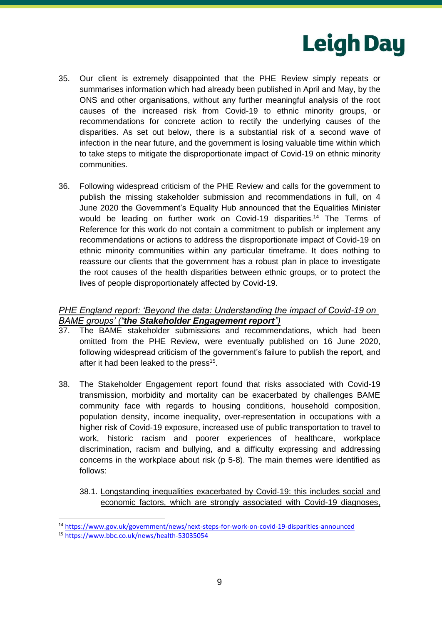

- 35. Our client is extremely disappointed that the PHE Review simply repeats or summarises information which had already been published in April and May, by the ONS and other organisations, without any further meaningful analysis of the root causes of the increased risk from Covid-19 to ethnic minority groups, or recommendations for concrete action to rectify the underlying causes of the disparities. As set out below, there is a substantial risk of a second wave of infection in the near future, and the government is losing valuable time within which to take steps to mitigate the disproportionate impact of Covid-19 on ethnic minority communities.
- 36. Following widespread criticism of the PHE Review and calls for the government to publish the missing stakeholder submission and recommendations in full, on 4 June 2020 the Government's Equality Hub announced that the Equalities Minister would be leading on further work on Covid-19 disparities.<sup>14</sup> The Terms of Reference for this work do not contain a commitment to publish or implement any recommendations or actions to address the disproportionate impact of Covid-19 on ethnic minority communities within any particular timeframe. It does nothing to reassure our clients that the government has a robust plan in place to investigate the root causes of the health disparities between ethnic groups, or to protect the lives of people disproportionately affected by Covid-19.

# *PHE England report: 'Beyond the data: Understanding the impact of Covid-19 on BAME groups' ("the Stakeholder Engagement report")*

- 37. The BAME stakeholder submissions and recommendations, which had been omitted from the PHE Review, were eventually published on 16 June 2020, following widespread criticism of the government's failure to publish the report, and after it had been leaked to the press<sup>15</sup>.
- 38. The Stakeholder Engagement report found that risks associated with Covid-19 transmission, morbidity and mortality can be exacerbated by challenges BAME community face with regards to housing conditions, household composition, population density, income inequality, over-representation in occupations with a higher risk of Covid-19 exposure, increased use of public transportation to travel to work, historic racism and poorer experiences of healthcare, workplace discrimination, racism and bullying, and a difficulty expressing and addressing concerns in the workplace about risk (p 5-8). The main themes were identified as follows:
	- 38.1. Longstanding inequalities exacerbated by Covid-19: this includes social and economic factors, which are strongly associated with Covid-19 diagnoses,

<sup>14</sup> <https://www.gov.uk/government/news/next-steps-for-work-on-covid-19-disparities-announced>

<sup>15</sup> <https://www.bbc.co.uk/news/health-53035054>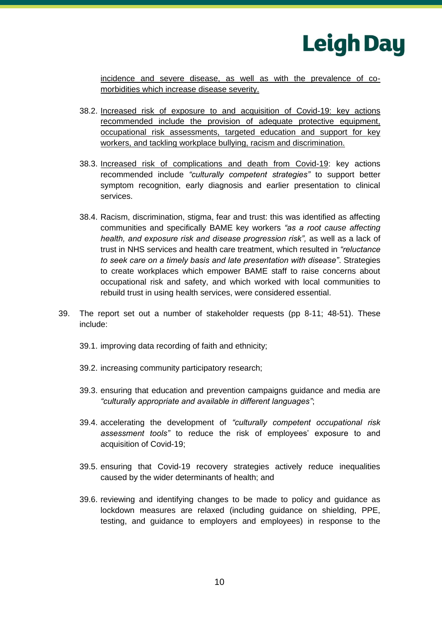

incidence and severe disease, as well as with the prevalence of comorbidities which increase disease severity.

- 38.2. Increased risk of exposure to and acquisition of Covid-19: key actions recommended include the provision of adequate protective equipment, occupational risk assessments, targeted education and support for key workers, and tackling workplace bullying, racism and discrimination.
- 38.3. Increased risk of complications and death from Covid-19: key actions recommended include *"culturally competent strategies"* to support better symptom recognition, early diagnosis and earlier presentation to clinical services.
- 38.4. Racism, discrimination, stigma, fear and trust: this was identified as affecting communities and specifically BAME key workers *"as a root cause affecting health, and exposure risk and disease progression risk"*, as well as a lack of trust in NHS services and health care treatment, which resulted in *"reluctance to seek care on a timely basis and late presentation with disease"*. Strategies to create workplaces which empower BAME staff to raise concerns about occupational risk and safety, and which worked with local communities to rebuild trust in using health services, were considered essential.
- 39. The report set out a number of stakeholder requests (pp 8-11; 48-51). These include:
	- 39.1. improving data recording of faith and ethnicity;
	- 39.2. increasing community participatory research;
	- 39.3. ensuring that education and prevention campaigns guidance and media are *"culturally appropriate and available in different languages"*;
	- 39.4. accelerating the development of *"culturally competent occupational risk assessment tools"* to reduce the risk of employees' exposure to and acquisition of Covid-19;
	- 39.5. ensuring that Covid-19 recovery strategies actively reduce inequalities caused by the wider determinants of health; and
	- 39.6. reviewing and identifying changes to be made to policy and guidance as lockdown measures are relaxed (including guidance on shielding, PPE, testing, and guidance to employers and employees) in response to the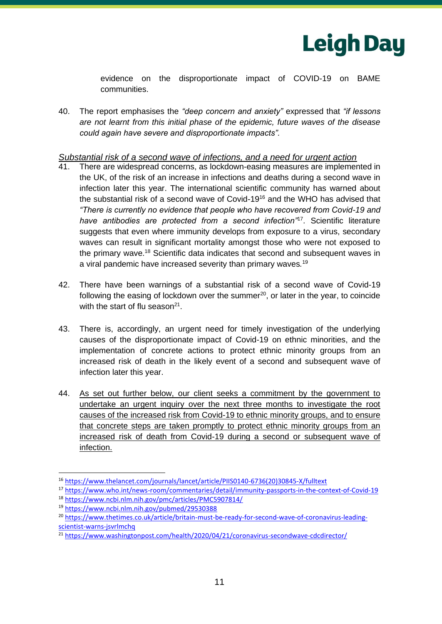

evidence on the disproportionate impact of COVID-19 on BAME communities.

40. The report emphasises the *"deep concern and anxiety"* expressed that *"if lessons are not learnt from this initial phase of the epidemic, future waves of the disease could again have severe and disproportionate impacts".*

#### *Substantial risk of a second wave of infections, and a need for urgent action*

- There are widespread concerns, as lockdown-easing measures are implemented in the UK, of the risk of an increase in infections and deaths during a second wave in infection later this year. The international scientific community has warned about the substantial risk of a second wave of Covid-19<sup>16</sup> and the WHO has advised that *"There is currently no evidence that people who have recovered from Covid-19 and have antibodies are protected from a second infection"*<sup>17</sup>. Scientific literature suggests that even where immunity develops from exposure to a virus, secondary waves can result in significant mortality amongst those who were not exposed to the primary wave.<sup>18</sup> Scientific data indicates that second and subsequent waves in a viral pandemic have increased severity than primary waves*.* 19
- 42. There have been warnings of a substantial risk of a second wave of Covid-19 following the easing of lockdown over the summer<sup>20</sup>, or later in the year, to coincide with the start of flu season $21$ .
- 43. There is, accordingly, an urgent need for timely investigation of the underlying causes of the disproportionate impact of Covid-19 on ethnic minorities, and the implementation of concrete actions to protect ethnic minority groups from an increased risk of death in the likely event of a second and subsequent wave of infection later this year.
- 44. As set out further below, our client seeks a commitment by the government to undertake an urgent inquiry over the next three months to investigate the root causes of the increased risk from Covid-19 to ethnic minority groups, and to ensure that concrete steps are taken promptly to protect ethnic minority groups from an increased risk of death from Covid-19 during a second or subsequent wave of infection.

<sup>16</sup> https://www.thelancet.com/journals/lancet/article/PIIS0140-6736(20)30845-X/fulltext

<sup>17</sup> https://www.who.int/news-room/commentaries/detail/immunity-passports-in-the-context-of-Covid-19 <sup>18</sup> https://www.ncbi.nlm.nih.gov/pmc/articles/PMC5907814/

<sup>19</sup> https://www.ncbi.nlm.nih.gov/pubmed/29530388

<sup>&</sup>lt;sup>20</sup> https://www.thetimes.co.uk/article/britain-must-be-ready-for-second-wave-of-coronavirus-leadingscientist-warns-jsvrlmchq

<sup>&</sup>lt;sup>21</sup> <https://www.washingtonpost.com/health/2020/04/21/coronavirus-secondwave-cdcdirector/>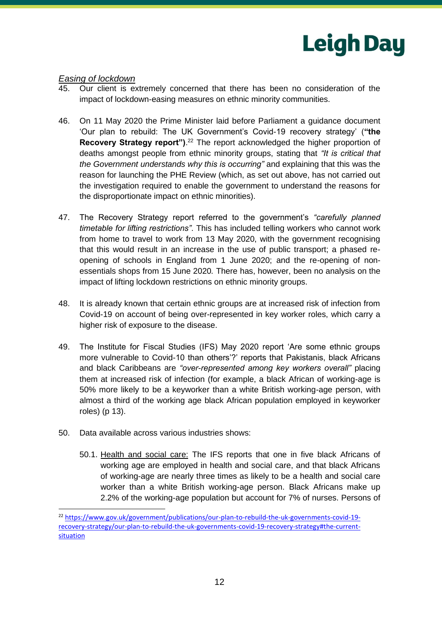

#### *Easing of lockdown*

- 45. Our client is extremely concerned that there has been no consideration of the impact of lockdown-easing measures on ethnic minority communities.
- 46. On 11 May 2020 the Prime Minister laid before Parliament a guidance document 'Our plan to rebuild: The UK Government's Covid-19 recovery strategy' (**"the Recovery Strategy report**").<sup>22</sup> The report acknowledged the higher proportion of deaths amongst people from ethnic minority groups, stating that *"It is critical that the Government understands why this is occurring"* and explaining that this was the reason for launching the PHE Review (which, as set out above, has not carried out the investigation required to enable the government to understand the reasons for the disproportionate impact on ethnic minorities).
- 47. The Recovery Strategy report referred to the government's *"carefully planned timetable for lifting restrictions"*. This has included telling workers who cannot work from home to travel to work from 13 May 2020, with the government recognising that this would result in an increase in the use of public transport; a phased reopening of schools in England from 1 June 2020; and the re-opening of nonessentials shops from 15 June 2020*.* There has, however, been no analysis on the impact of lifting lockdown restrictions on ethnic minority groups.
- 48. It is already known that certain ethnic groups are at increased risk of infection from Covid-19 on account of being over-represented in key worker roles, which carry a higher risk of exposure to the disease.
- 49. The Institute for Fiscal Studies (IFS) May 2020 report 'Are some ethnic groups more vulnerable to Covid-10 than others'?' reports that Pakistanis, black Africans and black Caribbeans are *"over-represented among key workers overall"* placing them at increased risk of infection (for example, a black African of working-age is 50% more likely to be a keyworker than a white British working-age person, with almost a third of the working age black African population employed in keyworker roles) (p 13).
- 50. Data available across various industries shows:
	- 50.1. Health and social care: The IFS reports that one in five black Africans of working age are employed in health and social care, and that black Africans of working-age are nearly three times as likely to be a health and social care worker than a white British working-age person. Black Africans make up 2.2% of the working-age population but account for 7% of nurses. Persons of

<sup>&</sup>lt;sup>22</sup> [https://www.gov.uk/government/publications/our-plan-to-rebuild-the-uk-governments-covid-19](https://www.gov.uk/government/publications/our-plan-to-rebuild-the-uk-governments-covid-19-recovery-strategy/our-plan-to-rebuild-the-uk-governments-covid-19-recovery-strategy#the-current-situation) [recovery-strategy/our-plan-to-rebuild-the-uk-governments-covid-19-recovery-strategy#the-current](https://www.gov.uk/government/publications/our-plan-to-rebuild-the-uk-governments-covid-19-recovery-strategy/our-plan-to-rebuild-the-uk-governments-covid-19-recovery-strategy#the-current-situation)[situation](https://www.gov.uk/government/publications/our-plan-to-rebuild-the-uk-governments-covid-19-recovery-strategy/our-plan-to-rebuild-the-uk-governments-covid-19-recovery-strategy#the-current-situation)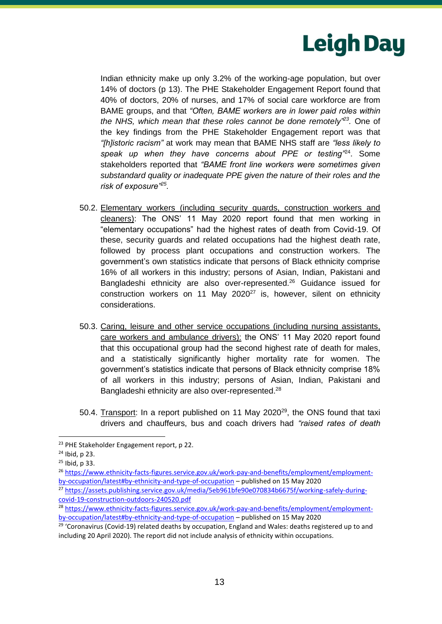

Indian ethnicity make up only 3.2% of the working-age population, but over 14% of doctors (p 13). The PHE Stakeholder Engagement Report found that 40% of doctors, 20% of nurses, and 17% of social care workforce are from BAME groups, and that *"Often, BAME workers are in lower paid roles within the NHS, which mean that these roles cannot be done remotely"<sup>23</sup> .* One of the key findings from the PHE Stakeholder Engagement report was that *"[h]istoric racism"* at work may mean that BAME NHS staff are *"less likely to speak up when they have concerns about PPE or testing"*<sup>24</sup> . Some stakeholders reported that *"BAME front line workers were sometimes given substandard quality or inadequate PPE given the nature of their roles and the risk of exposure"<sup>25</sup> .*

- 50.2. Elementary workers (including security guards, construction workers and cleaners): The ONS' 11 May 2020 report found that men working in "elementary occupations" had the highest rates of death from Covid-19. Of these, security guards and related occupations had the highest death rate, followed by process plant occupations and construction workers. The government's own statistics indicate that persons of Black ethnicity comprise 16% of all workers in this industry; persons of Asian, Indian, Pakistani and Bangladeshi ethnicity are also over-represented.<sup>26</sup> Guidance issued for construction workers on 11 May 2020<sup>27</sup> is, however, silent on ethnicity considerations.
- 50.3. Caring, leisure and other service occupations (including nursing assistants, care workers and ambulance drivers): the ONS' 11 May 2020 report found that this occupational group had the second highest rate of death for males, and a statistically significantly higher mortality rate for women. The government's statistics indicate that persons of Black ethnicity comprise 18% of all workers in this industry; persons of Asian, Indian, Pakistani and Bangladeshi ethnicity are also over-represented.<sup>28</sup>
- 50.4. Transport: In a report published on 11 May 2020<sup>29</sup>, the ONS found that taxi drivers and chauffeurs, bus and coach drivers had *"raised rates of death*

<sup>&</sup>lt;sup>23</sup> PHE Stakeholder Engagement report, p 22.

<sup>24</sup> Ibid, p 23.

<sup>25</sup> Ibid, p 33.

<sup>26</sup> [https://www.ethnicity-facts-figures.service.gov.uk/work-pay-and-benefits/employment/employment](https://www.ethnicity-facts-figures.service.gov.uk/work-pay-and-benefits/employment/employment-by-occupation/latest#by-ethnicity-and-type-of-occupation)[by-occupation/latest#by-ethnicity-and-type-of-occupation](https://www.ethnicity-facts-figures.service.gov.uk/work-pay-and-benefits/employment/employment-by-occupation/latest#by-ethnicity-and-type-of-occupation) – published on 15 May 2020

<sup>&</sup>lt;sup>27</sup> [https://assets.publishing.service.gov.uk/media/5eb961bfe90e070834b6675f/working-safely-during](https://assets.publishing.service.gov.uk/media/5eb961bfe90e070834b6675f/working-safely-during-covid-19-construction-outdoors-240520.pdf)[covid-19-construction-outdoors-240520.pdf](https://assets.publishing.service.gov.uk/media/5eb961bfe90e070834b6675f/working-safely-during-covid-19-construction-outdoors-240520.pdf)

<sup>&</sup>lt;sup>28</sup> [https://www.ethnicity-facts-figures.service.gov.uk/work-pay-and-benefits/employment/employment](https://www.ethnicity-facts-figures.service.gov.uk/work-pay-and-benefits/employment/employment-by-occupation/latest#by-ethnicity-and-type-of-occupation)[by-occupation/latest#by-ethnicity-and-type-of-occupation](https://www.ethnicity-facts-figures.service.gov.uk/work-pay-and-benefits/employment/employment-by-occupation/latest#by-ethnicity-and-type-of-occupation) – published on 15 May 2020

<sup>&</sup>lt;sup>29</sup> 'Coronavirus (Covid-19) related deaths by occupation, England and Wales: deaths registered up to and including 20 April 2020). The report did not include analysis of ethnicity within occupations.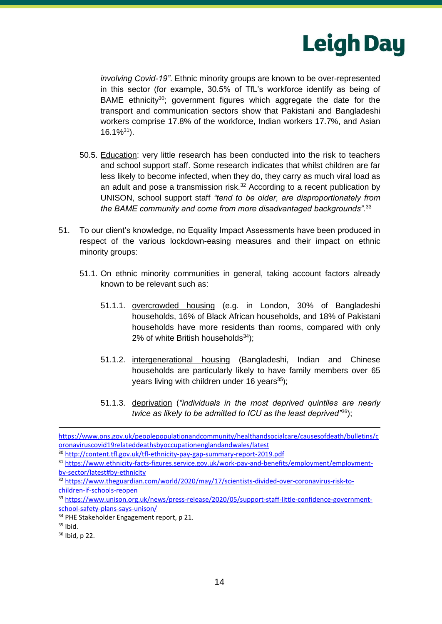

*involving Covid-19"*. Ethnic minority groups are known to be over-represented in this sector (for example, 30.5% of TfL's workforce identify as being of BAME ethnicity<sup>30</sup>; government figures which aggregate the date for the transport and communication sectors show that Pakistani and Bangladeshi workers comprise 17.8% of the workforce, Indian workers 17.7%, and Asian  $16.1\%^{31}$ .

- 50.5. Education: very little research has been conducted into the risk to teachers and school support staff. Some research indicates that whilst children are far less likely to become infected, when they do, they carry as much viral load as an adult and pose a transmission risk. $32$  According to a recent publication by UNISON, school support staff *"tend to be older, are disproportionately from the BAME community and come from more disadvantaged backgrounds".*<sup>33</sup>
- 51. To our client's knowledge, no Equality Impact Assessments have been produced in respect of the various lockdown-easing measures and their impact on ethnic minority groups:
	- 51.1. On ethnic minority communities in general, taking account factors already known to be relevant such as:
		- 51.1.1. overcrowded housing (e.g. in London, 30% of Bangladeshi households, 16% of Black African households, and 18% of Pakistani households have more residents than rooms, compared with only 2% of white British households $34$ );
		- 51.1.2. intergenerational housing (Bangladeshi, Indian and Chinese households are particularly likely to have family members over 65 years living with children under 16 years $35$ );
		- 51.1.3. deprivation (*"individuals in the most deprived quintiles are nearly twice as likely to be admitted to ICU as the least deprived"*<sup>36</sup>);

[https://www.ons.gov.uk/peoplepopulationandcommunity/healthandsocialcare/causesofdeath/bulletins/c](https://www.ons.gov.uk/peoplepopulationandcommunity/healthandsocialcare/causesofdeath/bulletins/coronaviruscovid19relateddeathsbyoccupationenglandandwales/latest) [oronaviruscovid19relateddeathsbyoccupationenglandandwales/latest](https://www.ons.gov.uk/peoplepopulationandcommunity/healthandsocialcare/causesofdeath/bulletins/coronaviruscovid19relateddeathsbyoccupationenglandandwales/latest)

<sup>30</sup> <http://content.tfl.gov.uk/tfl-ethnicity-pay-gap-summary-report-2019.pdf>

<sup>31</sup> [https://www.ethnicity-facts-figures.service.gov.uk/work-pay-and-benefits/employment/employment](https://www.ethnicity-facts-figures.service.gov.uk/work-pay-and-benefits/employment/employment-by-sector/latest#by-ethnicity)[by-sector/latest#by-ethnicity](https://www.ethnicity-facts-figures.service.gov.uk/work-pay-and-benefits/employment/employment-by-sector/latest#by-ethnicity)

<sup>32</sup> [https://www.theguardian.com/world/2020/may/17/scientists-divided-over-coronavirus-risk-to](https://www.theguardian.com/world/2020/may/17/scientists-divided-over-coronavirus-risk-to-children-if-schools-reopen)[children-if-schools-reopen](https://www.theguardian.com/world/2020/may/17/scientists-divided-over-coronavirus-risk-to-children-if-schools-reopen)

<sup>33</sup> [https://www.unison.org.uk/news/press-release/2020/05/support-staff-little-confidence-government](https://www.unison.org.uk/news/press-release/2020/05/support-staff-little-confidence-government-school-safety-plans-says-unison/)[school-safety-plans-says-unison/](https://www.unison.org.uk/news/press-release/2020/05/support-staff-little-confidence-government-school-safety-plans-says-unison/)

<sup>34</sup> PHE Stakeholder Engagement report, p 21.

 $35$  Ibid.

<sup>36</sup> Ibid, p 22.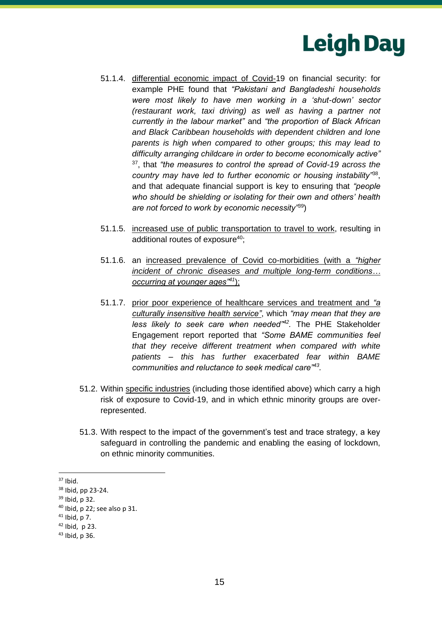

- 51.1.4. differential economic impact of Covid-19 on financial security: for example PHE found that *"Pakistani and Bangladeshi households were most likely to have men working in a 'shut-down' sector (restaurant work, taxi driving) as well as having a partner not currently in the labour market"* and *"the proportion of Black African and Black Caribbean households with dependent children and lone parents is high when compared to other groups; this may lead to difficulty arranging childcare in order to become economically active"* <sup>37</sup>, that *"the measures to control the spread of Covid-19 across the country may have led to further economic or housing instability"*<sup>38</sup> , and that adequate financial support is key to ensuring that *"people who should be shielding or isolating for their own and others' health are not forced to work by economic necessity"*<sup>39</sup>)
- 51.1.5. increased use of public transportation to travel to work, resulting in additional routes of exposure $40$ ;
- 51.1.6. an increased prevalence of Covid co-morbidities (with a *"higher incident of chronic diseases and multiple long-term conditions… occurring at younger ages"<sup>41</sup>*);
- 51.1.7. prior poor experience of healthcare services and treatment and *"a culturally insensitive health service"*, which *"may mean that they are less likely to seek care when needed"<sup>42</sup> .* The PHE Stakeholder Engagement report reported that *"Some BAME communities feel that they receive different treatment when compared with white patients – this has further exacerbated fear within BAME communities and reluctance to seek medical care"<sup>43</sup> .*
- 51.2. Within specific industries (including those identified above) which carry a high risk of exposure to Covid-19, and in which ethnic minority groups are overrepresented.
- 51.3. With respect to the impact of the government's test and trace strategy, a key safeguard in controlling the pandemic and enabling the easing of lockdown, on ethnic minority communities.

 $37$  Ibid.

<sup>38</sup> Ibid, pp 23-24.

<sup>39</sup> Ibid, p 32.

<sup>40</sup> Ibid, p 22; see also p 31.

 $41$  Ibid, p 7.

 $42$  Ibid, p 23.

<sup>43</sup> Ibid, p 36.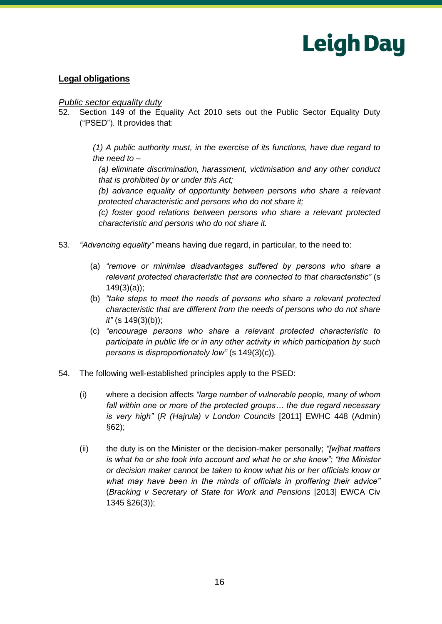

# **Legal obligations**

#### *Public sector equality duty*

52. Section 149 of the Equality Act 2010 sets out the Public Sector Equality Duty ("PSED"). It provides that:

> *(1) A public authority must, in the exercise of its functions, have due regard to the need to –*

*(a) eliminate discrimination, harassment, victimisation and any other conduct that is prohibited by or under this Act;*

*(b) advance equality of opportunity between persons who share a relevant protected characteristic and persons who do not share it;*

*(c) foster good relations between persons who share a relevant protected characteristic and persons who do not share it.*

- 53. *"Advancing equality"* means having due regard, in particular, to the need to:
	- (a) *"remove or minimise disadvantages suffered by persons who share a relevant protected characteristic that are connected to that characteristic"* (s 149(3)(a));
	- (b) *"take steps to meet the needs of persons who share a relevant protected characteristic that are different from the needs of persons who do not share it"* (s 149(3)(b));
	- (c) *"encourage persons who share a relevant protected characteristic to participate in public life or in any other activity in which participation by such persons is disproportionately low"* (s 149(3)(c))*.*
- 54. The following well-established principles apply to the PSED:
	- (i) where a decision affects *"large number of vulnerable people, many of whom fall within one or more of the protected groups… the due regard necessary is very high"* (*R (Hajrula) v London Councils* [2011] EWHC 448 (Admin) §62);
	- (ii) the duty is on the Minister or the decision-maker personally; *"[w]hat matters is what he or she took into account and what he or she knew"; "the Minister or decision maker cannot be taken to know what his or her officials know or what may have been in the minds of officials in proffering their advice"* (*Bracking v Secretary of State for Work and Pensions* [2013] EWCA Civ 1345 §26(3));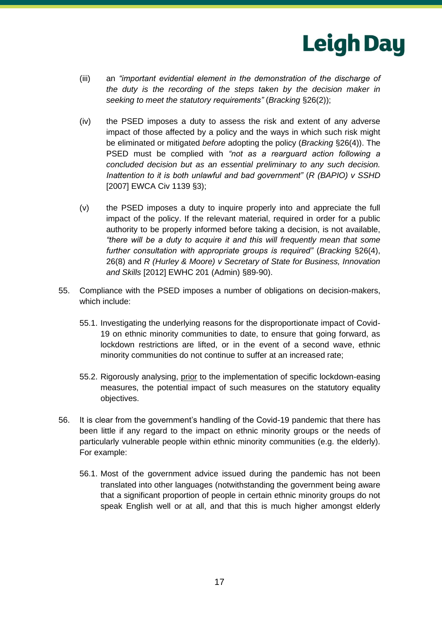

- (iii) an *"important evidential element in the demonstration of the discharge of the duty is the recording of the steps taken by the decision maker in seeking to meet the statutory requirements"* (*Bracking* §26(2));
- (iv) the PSED imposes a duty to assess the risk and extent of any adverse impact of those affected by a policy and the ways in which such risk might be eliminated or mitigated *before* adopting the policy (*Bracking* §26(4)). The PSED must be complied with *"not as a rearguard action following a concluded decision but as an essential preliminary to any such decision. Inattention to it is both unlawful and bad government"* (*R (BAPIO) v SSHD*  [2007] EWCA Civ 1139 §3);
- (v) the PSED imposes a duty to inquire properly into and appreciate the full impact of the policy. If the relevant material, required in order for a public authority to be properly informed before taking a decision, is not available, *"there will be a duty to acquire it and this will frequently mean that some further consultation with appropriate groups is required"* (*Bracking* §26(4), 26(8) and *R (Hurley & Moore) v Secretary of State for Business, Innovation and Skills* [2012] EWHC 201 (Admin) §89-90).
- 55. Compliance with the PSED imposes a number of obligations on decision-makers, which include:
	- 55.1. Investigating the underlying reasons for the disproportionate impact of Covid-19 on ethnic minority communities to date, to ensure that going forward, as lockdown restrictions are lifted, or in the event of a second wave, ethnic minority communities do not continue to suffer at an increased rate;
	- 55.2. Rigorously analysing, prior to the implementation of specific lockdown-easing measures, the potential impact of such measures on the statutory equality objectives.
- 56. It is clear from the government's handling of the Covid-19 pandemic that there has been little if any regard to the impact on ethnic minority groups or the needs of particularly vulnerable people within ethnic minority communities (e.g. the elderly). For example:
	- 56.1. Most of the government advice issued during the pandemic has not been translated into other languages (notwithstanding the government being aware that a significant proportion of people in certain ethnic minority groups do not speak English well or at all, and that this is much higher amongst elderly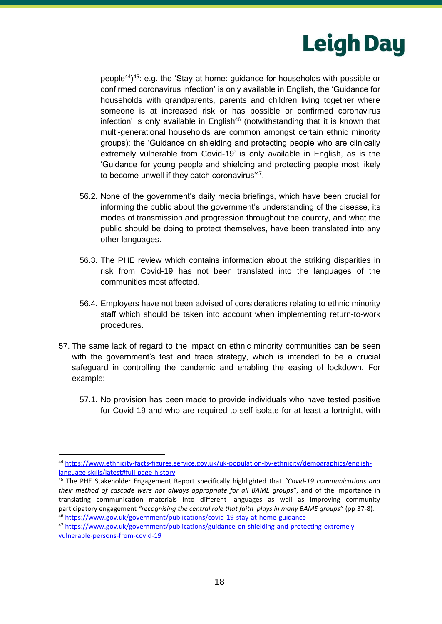

people<sup>44</sup>) <sup>45</sup>: e.g. the 'Stay at home: guidance for households with possible or confirmed coronavirus infection' is only available in English, the 'Guidance for households with grandparents, parents and children living together where someone is at increased risk or has possible or confirmed coronavirus infection' is only available in English<sup>46</sup> (notwithstanding that it is known that multi-generational households are common amongst certain ethnic minority groups); the 'Guidance on shielding and protecting people who are clinically extremely vulnerable from Covid-19' is only available in English, as is the 'Guidance for young people and shielding and protecting people most likely to become unwell if they catch coronavirus'<sup>47</sup> .

- 56.2. None of the government's daily media briefings, which have been crucial for informing the public about the government's understanding of the disease, its modes of transmission and progression throughout the country, and what the public should be doing to protect themselves, have been translated into any other languages.
- 56.3. The PHE review which contains information about the striking disparities in risk from Covid-19 has not been translated into the languages of the communities most affected.
- 56.4. Employers have not been advised of considerations relating to ethnic minority staff which should be taken into account when implementing return-to-work procedures.
- 57. The same lack of regard to the impact on ethnic minority communities can be seen with the government's test and trace strategy, which is intended to be a crucial safeguard in controlling the pandemic and enabling the easing of lockdown. For example:
	- 57.1. No provision has been made to provide individuals who have tested positive for Covid-19 and who are required to self-isolate for at least a fortnight, with

<sup>44</sup> [https://www.ethnicity-facts-figures.service.gov.uk/uk-population-by-ethnicity/demographics/english](https://www.ethnicity-facts-figures.service.gov.uk/uk-population-by-ethnicity/demographics/english-language-skills/latest#full-page-history)[language-skills/latest#full-page-history](https://www.ethnicity-facts-figures.service.gov.uk/uk-population-by-ethnicity/demographics/english-language-skills/latest#full-page-history)

<sup>45</sup> The PHE Stakeholder Engagement Report specifically highlighted that *"Covid-19 communications and their method of cascade were not always appropriate for all BAME groups"*, and of the importance in translating communication materials into different languages as well as improving community participatory engagement *"recognising the central role that faith plays in many BAME groups"* (pp 37-8)*.*  <sup>46</sup> <https://www.gov.uk/government/publications/covid-19-stay-at-home-guidance>

<sup>47</sup> [https://www.gov.uk/government/publications/guidance-on-shielding-and-protecting-extremely](https://www.gov.uk/government/publications/guidance-on-shielding-and-protecting-extremely-vulnerable-persons-from-covid-19)[vulnerable-persons-from-covid-19](https://www.gov.uk/government/publications/guidance-on-shielding-and-protecting-extremely-vulnerable-persons-from-covid-19)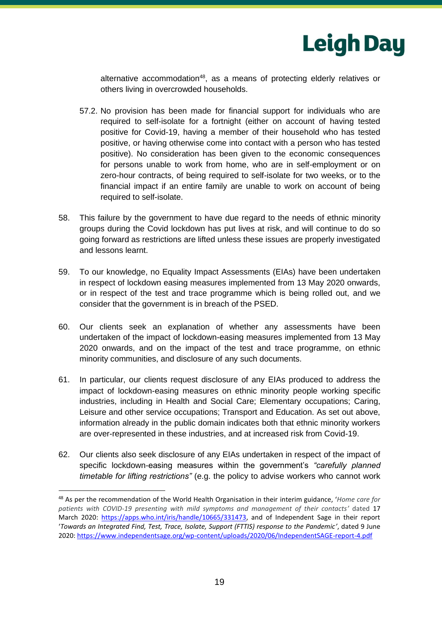

alternative accommodation<sup>48</sup>, as a means of protecting elderly relatives or others living in overcrowded households.

- 57.2. No provision has been made for financial support for individuals who are required to self-isolate for a fortnight (either on account of having tested positive for Covid-19, having a member of their household who has tested positive, or having otherwise come into contact with a person who has tested positive). No consideration has been given to the economic consequences for persons unable to work from home, who are in self-employment or on zero-hour contracts, of being required to self-isolate for two weeks, or to the financial impact if an entire family are unable to work on account of being required to self-isolate.
- 58. This failure by the government to have due regard to the needs of ethnic minority groups during the Covid lockdown has put lives at risk, and will continue to do so going forward as restrictions are lifted unless these issues are properly investigated and lessons learnt.
- 59. To our knowledge, no Equality Impact Assessments (EIAs) have been undertaken in respect of lockdown easing measures implemented from 13 May 2020 onwards, or in respect of the test and trace programme which is being rolled out, and we consider that the government is in breach of the PSED.
- 60. Our clients seek an explanation of whether any assessments have been undertaken of the impact of lockdown-easing measures implemented from 13 May 2020 onwards, and on the impact of the test and trace programme, on ethnic minority communities, and disclosure of any such documents.
- 61. In particular, our clients request disclosure of any EIAs produced to address the impact of lockdown-easing measures on ethnic minority people working specific industries, including in Health and Social Care; Elementary occupations; Caring, Leisure and other service occupations; Transport and Education. As set out above, information already in the public domain indicates both that ethnic minority workers are over-represented in these industries, and at increased risk from Covid-19.
- 62. Our clients also seek disclosure of any EIAs undertaken in respect of the impact of specific lockdown-easing measures within the government's *"carefully planned timetable for lifting restrictions"* (e.g. the policy to advise workers who cannot work

<sup>48</sup> As per the recommendation of the World Health Organisation in their interim guidance, '*Home care for patients with COVID-19 presenting with mild symptoms and management of their contacts'* dated 17 March 2020: [https://apps.who.int/iris/handle/10665/331473,](https://apps.who.int/iris/handle/10665/331473) and of Independent Sage in their report '*Towards an Integrated Find, Test, Trace, Isolate, Support (FTTIS) response to the Pandemic'*, dated 9 June 2020:<https://www.independentsage.org/wp-content/uploads/2020/06/IndependentSAGE-report-4.pdf>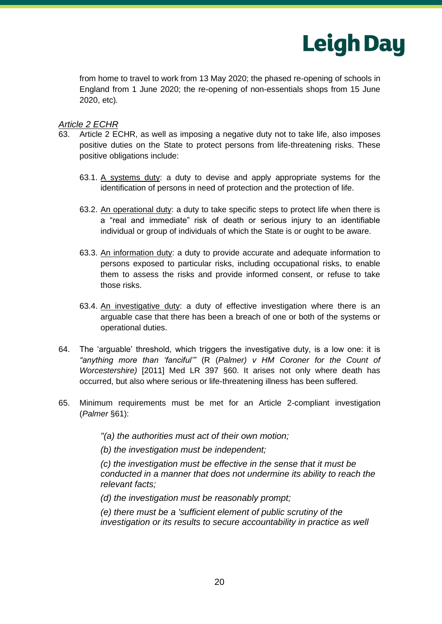

from home to travel to work from 13 May 2020; the phased re-opening of schools in England from 1 June 2020; the re-opening of non-essentials shops from 15 June 2020, etc)*.*

## *Article 2 ECHR*

- 63. Article 2 ECHR, as well as imposing a negative duty not to take life, also imposes positive duties on the State to protect persons from life-threatening risks. These positive obligations include:
	- 63.1. A systems duty: a duty to devise and apply appropriate systems for the identification of persons in need of protection and the protection of life.
	- 63.2. An operational duty: a duty to take specific steps to protect life when there is a "real and immediate" risk of death or serious injury to an identifiable individual or group of individuals of which the State is or ought to be aware.
	- 63.3. An information duty: a duty to provide accurate and adequate information to persons exposed to particular risks, including occupational risks, to enable them to assess the risks and provide informed consent, or refuse to take those risks.
	- 63.4. An investigative duty: a duty of effective investigation where there is an arguable case that there has been a breach of one or both of the systems or operational duties.
- 64. The 'arguable' threshold, which triggers the investigative duty, is a low one: it is *"anything more than 'fanciful'"* (R (*Palmer) v HM Coroner for the Count of Worcestershire)* [2011] Med LR 397 §60. It arises not only where death has occurred, but also where serious or life-threatening illness has been suffered.
- 65. Minimum requirements must be met for an Article 2-compliant investigation (*Palmer* §61):

*"(a) the authorities must act of their own motion;* 

*(b) the investigation must be independent;*

*(c) the investigation must be effective in the sense that it must be conducted in a manner that does not undermine its ability to reach the relevant facts;*

*(d) the investigation must be reasonably prompt;*

*(e) there must be a 'sufficient element of public scrutiny of the investigation or its results to secure accountability in practice as well*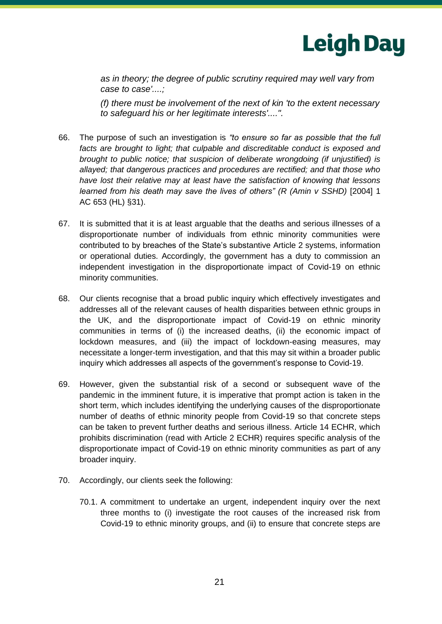

*as in theory; the degree of public scrutiny required may well vary from case to case'....;*

*(f) there must be involvement of the next of kin 'to the extent necessary to safeguard his or her legitimate interests'....".*

- 66. The purpose of such an investigation is *"to ensure so far as possible that the full*  facts are brought to light; that culpable and discreditable conduct is exposed and *brought to public notice; that suspicion of deliberate wrongdoing (if unjustified) is allayed; that dangerous practices and procedures are rectified; and that those who have lost their relative may at least have the satisfaction of knowing that lessons learned from his death may save the lives of others" (R (Amin v SSHD)* [2004] 1 AC 653 (HL) §31).
- 67. It is submitted that it is at least arguable that the deaths and serious illnesses of a disproportionate number of individuals from ethnic minority communities were contributed to by breaches of the State's substantive Article 2 systems, information or operational duties. Accordingly, the government has a duty to commission an independent investigation in the disproportionate impact of Covid-19 on ethnic minority communities.
- 68. Our clients recognise that a broad public inquiry which effectively investigates and addresses all of the relevant causes of health disparities between ethnic groups in the UK, and the disproportionate impact of Covid-19 on ethnic minority communities in terms of (i) the increased deaths, (ii) the economic impact of lockdown measures, and (iii) the impact of lockdown-easing measures, may necessitate a longer-term investigation, and that this may sit within a broader public inquiry which addresses all aspects of the government's response to Covid-19.
- 69. However, given the substantial risk of a second or subsequent wave of the pandemic in the imminent future, it is imperative that prompt action is taken in the short term, which includes identifying the underlying causes of the disproportionate number of deaths of ethnic minority people from Covid-19 so that concrete steps can be taken to prevent further deaths and serious illness. Article 14 ECHR, which prohibits discrimination (read with Article 2 ECHR) requires specific analysis of the disproportionate impact of Covid-19 on ethnic minority communities as part of any broader inquiry.
- 70. Accordingly, our clients seek the following:
	- 70.1. A commitment to undertake an urgent, independent inquiry over the next three months to (i) investigate the root causes of the increased risk from Covid-19 to ethnic minority groups, and (ii) to ensure that concrete steps are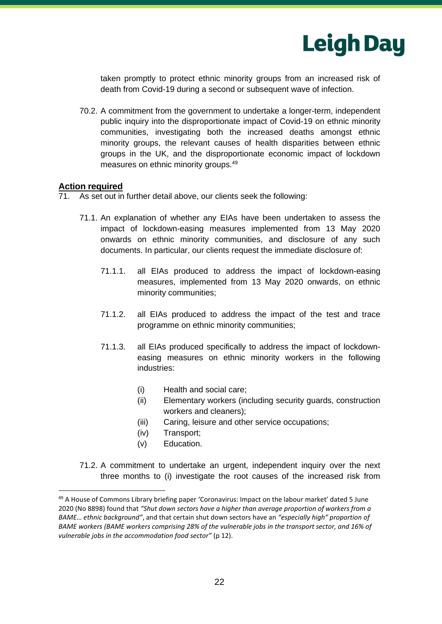

taken promptly to protect ethnic minority groups from an increased risk of death from Covid-19 during a second or subsequent wave of infection.

70.2. A commitment from the government to undertake a longer-term, independent public inquiry into the disproportionate impact of Covid-19 on ethnic minority communities, investigating both the increased deaths amongst ethnic minority groups, the relevant causes of health disparities between ethnic groups in the UK, and the disproportionate economic impact of lockdown measures on ethnic minority groups.<sup>49</sup>

#### **Action required**

71. As set out in further detail above, our clients seek the following:

- 71.1. An explanation of whether any EIAs have been undertaken to assess the impact of lockdown-easing measures implemented from 13 May 2020 onwards on ethnic minority communities, and disclosure of any such documents. In particular, our clients request the immediate disclosure of:
	- 71.1.1. all EIAs produced to address the impact of lockdown-easing measures, implemented from 13 May 2020 onwards, on ethnic minority communities;
	- 71.1.2. all EIAs produced to address the impact of the test and trace programme on ethnic minority communities;
	- 71.1.3. all EIAs produced specifically to address the impact of lockdowneasing measures on ethnic minority workers in the following industries:
		- (i) Health and social care;
		- (ii) Elementary workers (including security guards, construction workers and cleaners);
		- (iii) Caring, leisure and other service occupations;
		- (iv) Transport;
		- (v) Education.
- 71.2. A commitment to undertake an urgent, independent inquiry over the next three months to (i) investigate the root causes of the increased risk from

 $49$  A House of Commons Library briefing paper 'Coronavirus: Impact on the labour market' dated 5 June 2020 (No 8898) found that *"Shut down sectors have a higher than average proportion of workers from a BAME… ethnic background"*, and that certain shut down sectors have an *"especially high" proportion of BAME workers (BAME workers comprising 28% of the vulnerable jobs in the transport sector, and 16% of vulnerable jobs in the accommodation food sector"* (p 12).